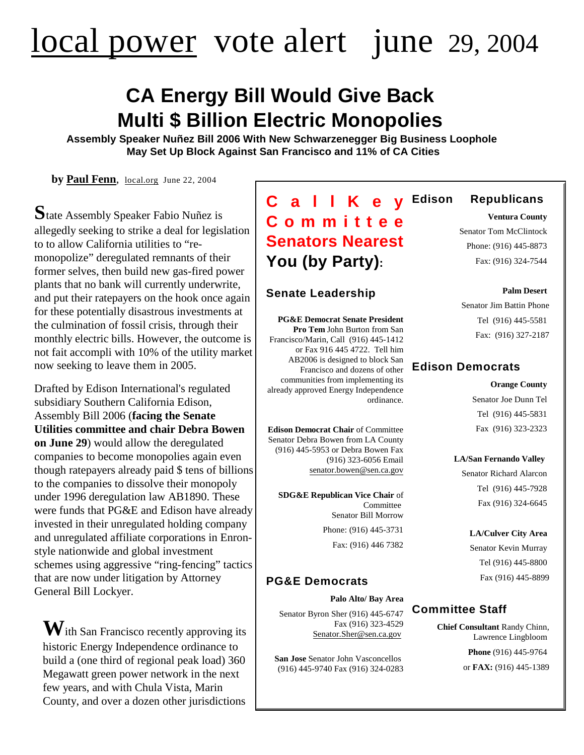# [local power](http://www.local.org) vote alert june 29, 2004

## **CA Energy Bill Would Give Back Multi \$ Billion Electric Monopolies**

**Assembly Speaker Nuñez Bill 2006 With New Schwarzenegger Big Business Loophole May Set Up Block Against San Francisco and 11% of CA Cities**

**by [Paul Fenn](http://paulfenn@local.org)**, [local.org](http://www.local.org) June 22, 2004

**S**tate Assembly Speaker Fabio Nuñez is allegedly seeking to strike a deal for legislation to to allow California utilities to "remonopolize" deregulated remnants of their former selves, then build new gas-fired power plants that no bank will currently underwrite, and put their ratepayers on the hook once again for these potentially disastrous investments at the culmination of fossil crisis, through their monthly electric bills. However, the outcome is not fait accompli with 10% of the utility market now seeking to leave them in 2005.

Drafted by Edison International's regulated subsidiary Southern California Edison, Assembly Bill 2006 (**facing the Senate Utilities committee and chair Debra Bowen on June 29**) would allow the deregulated companies to become monopolies again even though ratepayers already paid \$ tens of billions to the companies to dissolve their monopoly under 1996 deregulation law AB1890. These were funds that PG&E and Edison have already invested in their unregulated holding company and unregulated affiliate corporations in Enronstyle nationwide and global investment schemes using aggressive "ring-fencing" tactics that are now under litigation by Attorney General Bill Lockyer.

**W**ith San Francisco recently approving its historic Energy Independence ordinance to build a (one third of regional peak load) 360 Megawatt green power network in the next few years, and with Chula Vista, Marin County, and over a dozen other jurisdictions

### **C a l l K e y Com m itt e e Senators Nearest You (by Party):**

#### **Senate Leadership**

**PG&E Democrat Senate President Pro Tem** John Burton from San Francisco/Marin, Call (916) 445-1412 or Fax 916 445 4722. Tell him AB2006 is designed to block San Francisco and dozens of other communities from implementing its already approved Energy Independence ordinance.

**Edison Democrat Chair** of Committee Senator Debra Bowen from LA County (916) 445-5953 or Debra Bowen Fax (916) 323-6056 Email [senator.bowen@sen.ca.gov](mailto:senator.bowen@sen.ca.gov)

**SDG&E Republican Vice Chair** of Committee Senator Bill Morrow Phone: (916) 445-3731 Fax: (916) 446 7382

#### **PG&E Democrats**

**Palo Alto/ Bay Area**

Senator Byron Sher (916) 445-6747 Fax (916) 323-4529 [Senator.Sher@sen.ca.gov](mailto:Senator.Sher@sen.ca.gov)

**San Jose** Senator John Vasconcellos (916) 445-9740 Fax (916) 324-0283

#### **Edison Republicans**

**Ventura County** 

Senator Tom McClintock Phone: (916) 445-8873 Fax: (916) 324-7544

**Palm Desert**  Senator Jim Battin Phone Tel (916) 445-5581

Fax: (916) 327-2187

#### **Edison Democrats**

#### **Orange County**

Senator Joe Dunn Tel Tel (916) 445-5831 Fax (916) 323-2323

**LA/San Fernando Valley**

Senator Richard Alarcon Tel (916) 445-7928 Fax (916) 324-6645

**LA/Culver City Area** Senator Kevin Murray Tel (916) 445-8800 Fax (916) 445-8899

#### **Committee Staff**

**Chief Consultant** Randy Chinn, Lawrence Lingbloom **Phone** (916) 445-9764

or **FAX:** (916) 445-1389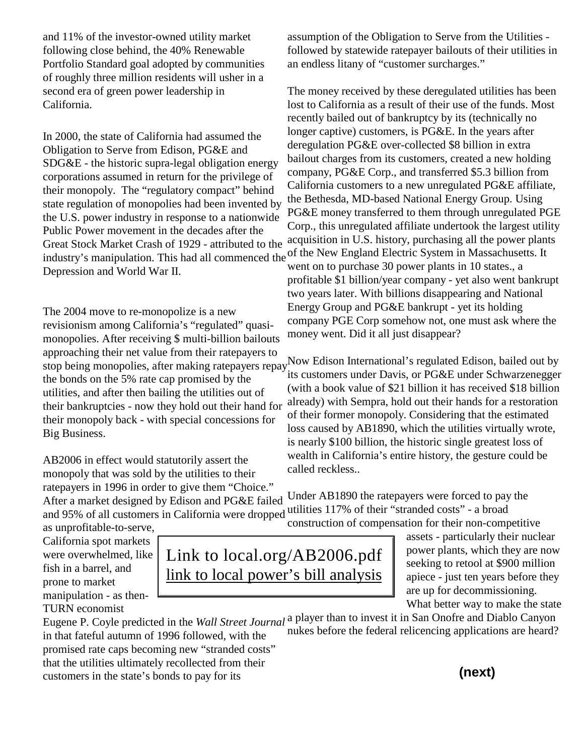and 11% of the investor-owned utility market following close behind, the 40% Renewable Portfolio Standard goal adopted by communities of roughly three million residents will usher in a second era of green power leadership in California.

In 2000, the state of California had assumed the Obligation to Serve from Edison, PG&E and SDG&E - the historic supra-legal obligation energy corporations assumed in return for the privilege of their monopoly. The "regulatory compact" behind state regulation of monopolies had been invented by the U.S. power industry in response to a nationwide Public Power movement in the decades after the Great Stock Market Crash of 1929 - attributed to the Depression and World War II.

The 2004 move to re-monopolize is a new revisionism among California's "regulated" quasimonopolies. After receiving \$ multi-billion bailouts approaching their net value from their ratepayers to the bonds on the 5% rate cap promised by the utilities, and after then bailing the utilities out of their bankruptcies - now they hold out their hand for their monopoly back - with special concessions for Big Business.

AB2006 in effect would statutorily assert the monopoly that was sold by the utilities to their ratepayers in 1996 in order to give them "Choice." assumption of the Obligation to Serve from the Utilities followed by statewide ratepayer bailouts of their utilities in an endless litany of "customer surcharges."

industry's manipulation. This had all commenced the <sup>of</sup> the New England Electric System in Massachusetts. It The money received by these deregulated utilities has been lost to California as a result of their use of the funds. Most recently bailed out of bankruptcy by its (technically no longer captive) customers, is PG&E. In the years after deregulation PG&E over-collected \$8 billion in extra bailout charges from its customers, created a new holding company, PG&E Corp., and transferred \$5.3 billion from California customers to a new unregulated PG&E affiliate, the Bethesda, MD-based National Energy Group. Using PG&E money transferred to them through unregulated PGE Corp., this unregulated affiliate undertook the largest utility acquisition in U.S. history, purchasing all the power plants went on to purchase 30 power plants in 10 states., a profitable \$1 billion/year company - yet also went bankrupt two years later. With billions disappearing and National Energy Group and PG&E bankrupt - yet its holding company PGE Corp somehow not, one must ask where the money went. Did it all just disappear?

stop being monopolies, after making ratepayers repay.<sup>Now</sup> Edison International's regulated Edison, bailed out by its customers under Davis, or PG&E under Schwarzenegger (with a book value of \$21 billion it has received \$18 billion already) with Sempra, hold out their hands for a restoration of their former monopoly. Considering that the estimated loss caused by AB1890, which the utilities virtually wrote, is nearly \$100 billion, the historic single greatest loss of wealth in California's entire history, the gesture could be called reckless..

After a market designed by Edison and PG&E failed and 95% of all customers in California were dropped utilities 117% of their "stranded costs" - a broad Under AB1890 the ratepayers were forced to pay the construction of compensation for their non-competitive

as unprofitable-to-serve, California spot markets were overwhelmed, like fish in a barrel, and prone to market manipulation - as then-TURN economist

in that fateful autumn of 1996 followed, with the promised rate caps becoming new "stranded costs" that the utilities ultimately recollected from their customers in the state's bonds to pay for its

Link to local.org/AB2006.pdf [link to local power's bill analysis](http://www.local.org/ab2006.pdf)

assets - particularly their nuclear power plants, which they are now seeking to retool at \$900 million apiece - just ten years before they are up for decommissioning. What better way to make the state

Eugene P. Coyle predicted in the *Wall Street Journal* a player than to invest it in San Onofre and Diablo Canyon nukes before the federal relicencing applications are heard?